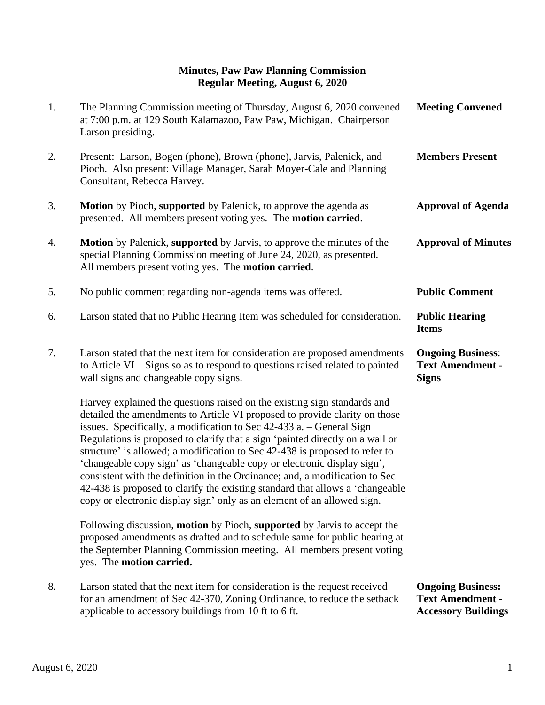## **Minutes, Paw Paw Planning Commission Regular Meeting, August 6, 2020**

| 1. | The Planning Commission meeting of Thursday, August 6, 2020 convened<br>at 7:00 p.m. at 129 South Kalamazoo, Paw Paw, Michigan. Chairperson<br>Larson presiding.                                                                                                                                                                                                                                                                                                                                                                                                                                                                                                                                                      | <b>Meeting Convened</b>                                                           |
|----|-----------------------------------------------------------------------------------------------------------------------------------------------------------------------------------------------------------------------------------------------------------------------------------------------------------------------------------------------------------------------------------------------------------------------------------------------------------------------------------------------------------------------------------------------------------------------------------------------------------------------------------------------------------------------------------------------------------------------|-----------------------------------------------------------------------------------|
| 2. | Present: Larson, Bogen (phone), Brown (phone), Jarvis, Palenick, and<br>Pioch. Also present: Village Manager, Sarah Moyer-Cale and Planning<br>Consultant, Rebecca Harvey.                                                                                                                                                                                                                                                                                                                                                                                                                                                                                                                                            | <b>Members Present</b>                                                            |
| 3. | Motion by Pioch, supported by Palenick, to approve the agenda as<br>presented. All members present voting yes. The <b>motion carried</b> .                                                                                                                                                                                                                                                                                                                                                                                                                                                                                                                                                                            | <b>Approval of Agenda</b>                                                         |
| 4. | <b>Motion</b> by Palenick, supported by Jarvis, to approve the minutes of the<br>special Planning Commission meeting of June 24, 2020, as presented.<br>All members present voting yes. The motion carried.                                                                                                                                                                                                                                                                                                                                                                                                                                                                                                           | <b>Approval of Minutes</b>                                                        |
| 5. | No public comment regarding non-agenda items was offered.                                                                                                                                                                                                                                                                                                                                                                                                                                                                                                                                                                                                                                                             | <b>Public Comment</b>                                                             |
| 6. | Larson stated that no Public Hearing Item was scheduled for consideration.                                                                                                                                                                                                                                                                                                                                                                                                                                                                                                                                                                                                                                            | <b>Public Hearing</b><br><b>Items</b>                                             |
| 7. | Larson stated that the next item for consideration are proposed amendments<br>to Article VI – Signs so as to respond to questions raised related to painted<br>wall signs and changeable copy signs.                                                                                                                                                                                                                                                                                                                                                                                                                                                                                                                  | <b>Ongoing Business:</b><br><b>Text Amendment -</b><br><b>Signs</b>               |
|    | Harvey explained the questions raised on the existing sign standards and<br>detailed the amendments to Article VI proposed to provide clarity on those<br>issues. Specifically, a modification to Sec 42-433 a. – General Sign<br>Regulations is proposed to clarify that a sign 'painted directly on a wall or<br>structure' is allowed; a modification to Sec 42-438 is proposed to refer to<br>'changeable copy sign' as 'changeable copy or electronic display sign',<br>consistent with the definition in the Ordinance; and, a modification to Sec<br>42-438 is proposed to clarify the existing standard that allows a 'changeable'<br>copy or electronic display sign' only as an element of an allowed sign. |                                                                                   |
|    | Following discussion, motion by Pioch, supported by Jarvis to accept the<br>proposed amendments as drafted and to schedule same for public hearing at<br>the September Planning Commission meeting. All members present voting<br>yes. The motion carried.                                                                                                                                                                                                                                                                                                                                                                                                                                                            |                                                                                   |
| 8. | Larson stated that the next item for consideration is the request received<br>for an amendment of Sec 42-370, Zoning Ordinance, to reduce the setback<br>applicable to accessory buildings from 10 ft to 6 ft.                                                                                                                                                                                                                                                                                                                                                                                                                                                                                                        | <b>Ongoing Business:</b><br><b>Text Amendment -</b><br><b>Accessory Buildings</b> |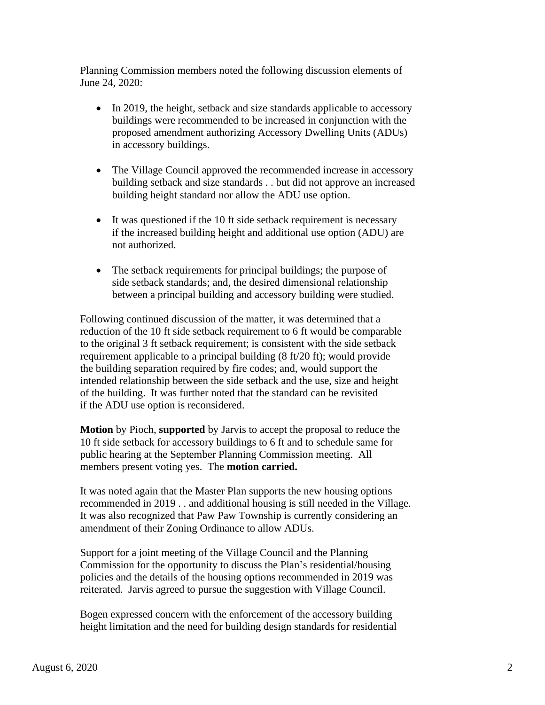Planning Commission members noted the following discussion elements of June 24, 2020:

- In 2019, the height, setback and size standards applicable to accessory buildings were recommended to be increased in conjunction with the proposed amendment authorizing Accessory Dwelling Units (ADUs) in accessory buildings.
- The Village Council approved the recommended increase in accessory building setback and size standards . . but did not approve an increased building height standard nor allow the ADU use option.
- It was questioned if the 10 ft side setback requirement is necessary if the increased building height and additional use option (ADU) are not authorized.
- The setback requirements for principal buildings; the purpose of side setback standards; and, the desired dimensional relationship between a principal building and accessory building were studied.

 Following continued discussion of the matter, it was determined that a reduction of the 10 ft side setback requirement to 6 ft would be comparable to the original 3 ft setback requirement; is consistent with the side setback requirement applicable to a principal building (8 ft/20 ft); would provide the building separation required by fire codes; and, would support the intended relationship between the side setback and the use, size and height of the building. It was further noted that the standard can be revisited if the ADU use option is reconsidered.

 **Motion** by Pioch, **supported** by Jarvis to accept the proposal to reduce the 10 ft side setback for accessory buildings to 6 ft and to schedule same for public hearing at the September Planning Commission meeting. All members present voting yes. The **motion carried.**

 It was noted again that the Master Plan supports the new housing options recommended in 2019 . . and additional housing is still needed in the Village. It was also recognized that Paw Paw Township is currently considering an amendment of their Zoning Ordinance to allow ADUs.

 Support for a joint meeting of the Village Council and the Planning Commission for the opportunity to discuss the Plan's residential/housing policies and the details of the housing options recommended in 2019 was reiterated. Jarvis agreed to pursue the suggestion with Village Council.

 Bogen expressed concern with the enforcement of the accessory building height limitation and the need for building design standards for residential